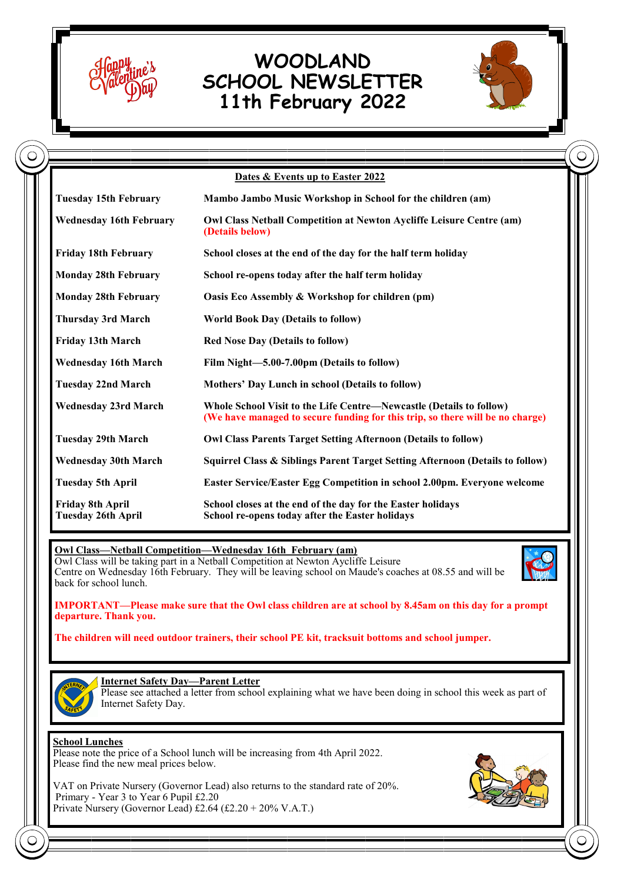

## **WOODLAND SCHOOL NEWSLETTER 11th February 2022**



|                                               | Dates & Events up to Easter 2022                                                                                                                     |
|-----------------------------------------------|------------------------------------------------------------------------------------------------------------------------------------------------------|
| <b>Tuesday 15th February</b>                  | Mambo Jambo Music Workshop in School for the children (am)                                                                                           |
| <b>Wednesday 16th February</b>                | <b>Owl Class Netball Competition at Newton Aycliffe Leisure Centre (am)</b><br>(Details below)                                                       |
| <b>Friday 18th February</b>                   | School closes at the end of the day for the half term holiday                                                                                        |
| <b>Monday 28th February</b>                   | School re-opens today after the half term holiday                                                                                                    |
| <b>Monday 28th February</b>                   | Oasis Eco Assembly & Workshop for children (pm)                                                                                                      |
| <b>Thursday 3rd March</b>                     | <b>World Book Day (Details to follow)</b>                                                                                                            |
| Friday 13th March                             | <b>Red Nose Day (Details to follow)</b>                                                                                                              |
| <b>Wednesday 16th March</b>                   | Film Night-5.00-7.00pm (Details to follow)                                                                                                           |
| <b>Tuesday 22nd March</b>                     | Mothers' Day Lunch in school (Details to follow)                                                                                                     |
| <b>Wednesday 23rd March</b>                   | Whole School Visit to the Life Centre—Newcastle (Details to follow)<br>(We have managed to secure funding for this trip, so there will be no charge) |
| <b>Tuesday 29th March</b>                     | <b>Owl Class Parents Target Setting Afternoon (Details to follow)</b>                                                                                |
| <b>Wednesday 30th March</b>                   | Squirrel Class & Siblings Parent Target Setting Afternoon (Details to follow)                                                                        |
| <b>Tuesday 5th April</b>                      | Easter Service/Easter Egg Competition in school 2.00pm. Everyone welcome                                                                             |
| Friday 8th April<br><b>Tuesday 26th April</b> | School closes at the end of the day for the Easter holidays<br>School re-opens today after the Easter holidays                                       |

**Owl Class—Netball Competition—Wednesday 16th February (am)** Owl Class will be taking part in a Netball Competition at Newton Aycliffe Leisure Centre on Wednesday 16th February. They will be leaving school on Maude's coaches at 08.55 and will be back for school lunch.



**IMPORTANT—Please make sure that the Owl class children are at school by 8.45am on this day for a prompt departure. Thank you.**

**The children will need outdoor trainers, their school PE kit, tracksuit bottoms and school jumper.**



**Internet Safety Day—Parent Letter**

Please see attached a letter from school explaining what we have been doing in school this week as part of Internet Safety Day.

## **School Lunches**

Please note the price of a School lunch will be increasing from 4th April 2022. Please find the new meal prices below.

VAT on Private Nursery (Governor Lead) also returns to the standard rate of 20%. Primary - Year 3 to Year 6 Pupil £2.20 Private Nursery (Governor Lead) £2.64 (£2.20 + 20% V.A.T.)